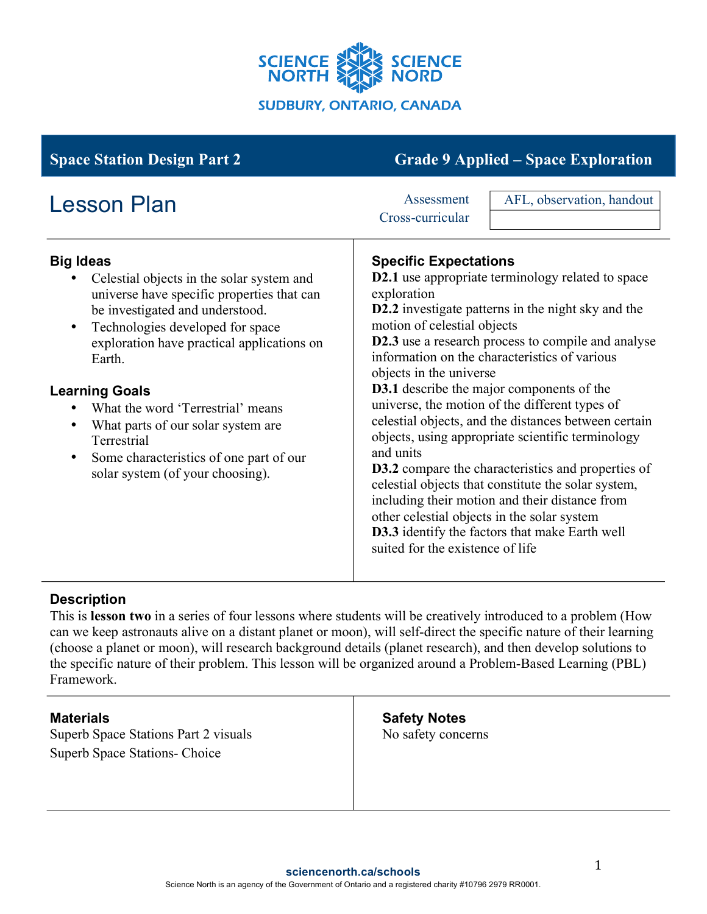

| <b>Space Station Design Part 2</b>                                                                                                                                                                                                                                                                                                                                                                                                                                                  | <b>Grade 9 Applied – Space Exploration</b>                                                                                                                                                                                                                                                                                                                                                                                                                                                                                                                                                                                                                                                                                                                                                                                                                                       |
|-------------------------------------------------------------------------------------------------------------------------------------------------------------------------------------------------------------------------------------------------------------------------------------------------------------------------------------------------------------------------------------------------------------------------------------------------------------------------------------|----------------------------------------------------------------------------------------------------------------------------------------------------------------------------------------------------------------------------------------------------------------------------------------------------------------------------------------------------------------------------------------------------------------------------------------------------------------------------------------------------------------------------------------------------------------------------------------------------------------------------------------------------------------------------------------------------------------------------------------------------------------------------------------------------------------------------------------------------------------------------------|
| <b>Lesson Plan</b>                                                                                                                                                                                                                                                                                                                                                                                                                                                                  | AFL, observation, handout<br>Assessment<br>Cross-curricular                                                                                                                                                                                                                                                                                                                                                                                                                                                                                                                                                                                                                                                                                                                                                                                                                      |
| <b>Big Ideas</b><br>Celestial objects in the solar system and<br>universe have specific properties that can<br>be investigated and understood.<br>Technologies developed for space<br>$\bullet$<br>exploration have practical applications on<br>Earth.<br><b>Learning Goals</b><br>What the word 'Terrestrial' means<br>What parts of our solar system are<br>$\bullet$<br>Terrestrial<br>Some characteristics of one part of our<br>$\bullet$<br>solar system (of your choosing). | <b>Specific Expectations</b><br><b>D2.1</b> use appropriate terminology related to space<br>exploration<br>D2.2 investigate patterns in the night sky and the<br>motion of celestial objects<br>D2.3 use a research process to compile and analyse<br>information on the characteristics of various<br>objects in the universe<br><b>D3.1</b> describe the major components of the<br>universe, the motion of the different types of<br>celestial objects, and the distances between certain<br>objects, using appropriate scientific terminology<br>and units<br><b>D3.2</b> compare the characteristics and properties of<br>celestial objects that constitute the solar system,<br>including their motion and their distance from<br>other celestial objects in the solar system<br><b>D3.3</b> identify the factors that make Earth well<br>suited for the existence of life |

## **Description**

This is **lesson two** in a series of four lessons where students will be creatively introduced to a problem (How can we keep astronauts alive on a distant planet or moon), will self-direct the specific nature of their learning (choose a planet or moon), will research background details (planet research), and then develop solutions to the specific nature of their problem. This lesson will be organized around a Problem-Based Learning (PBL) Framework.

Superb Space Stations Part 2 visuals Superb Space Stations- Choice

**Safety Notes** No safety concerns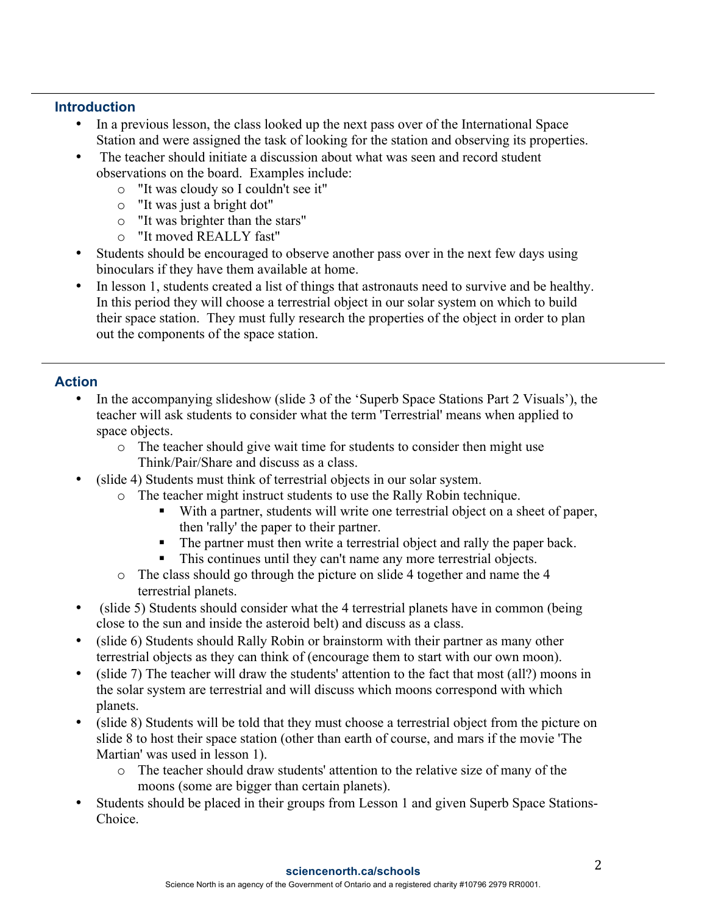## **Introduction**

- In a previous lesson, the class looked up the next pass over of the International Space Station and were assigned the task of looking for the station and observing its properties.
- The teacher should initiate a discussion about what was seen and record student observations on the board. Examples include:
	- o "It was cloudy so I couldn't see it"
	- o "It was just a bright dot"
	- o "It was brighter than the stars"
	- o "It moved REALLY fast"
- Students should be encouraged to observe another pass over in the next few days using binoculars if they have them available at home.
- In lesson 1, students created a list of things that astronauts need to survive and be healthy. In this period they will choose a terrestrial object in our solar system on which to build their space station. They must fully research the properties of the object in order to plan out the components of the space station.

## **Action**

- In the accompanying slideshow (slide 3 of the 'Superb Space Stations Part 2 Visuals'), the teacher will ask students to consider what the term 'Terrestrial' means when applied to space objects.
	- o The teacher should give wait time for students to consider then might use Think/Pair/Share and discuss as a class.
- (slide 4) Students must think of terrestrial objects in our solar system.
	- o The teacher might instruct students to use the Rally Robin technique.
		- With a partner, students will write one terrestrial object on a sheet of paper, then 'rally' the paper to their partner.
		- The partner must then write a terrestrial object and rally the paper back.
		- This continues until they can't name any more terrestrial objects.
	- o The class should go through the picture on slide 4 together and name the 4 terrestrial planets.
- (slide 5) Students should consider what the 4 terrestrial planets have in common (being close to the sun and inside the asteroid belt) and discuss as a class.
- (slide 6) Students should Rally Robin or brainstorm with their partner as many other terrestrial objects as they can think of (encourage them to start with our own moon).
- (slide 7) The teacher will draw the students' attention to the fact that most (all?) moons in the solar system are terrestrial and will discuss which moons correspond with which planets.
- (slide 8) Students will be told that they must choose a terrestrial object from the picture on slide 8 to host their space station (other than earth of course, and mars if the movie 'The Martian' was used in lesson 1).
	- o The teacher should draw students' attention to the relative size of many of the moons (some are bigger than certain planets).
- Students should be placed in their groups from Lesson 1 and given Superb Space Stations-Choice.